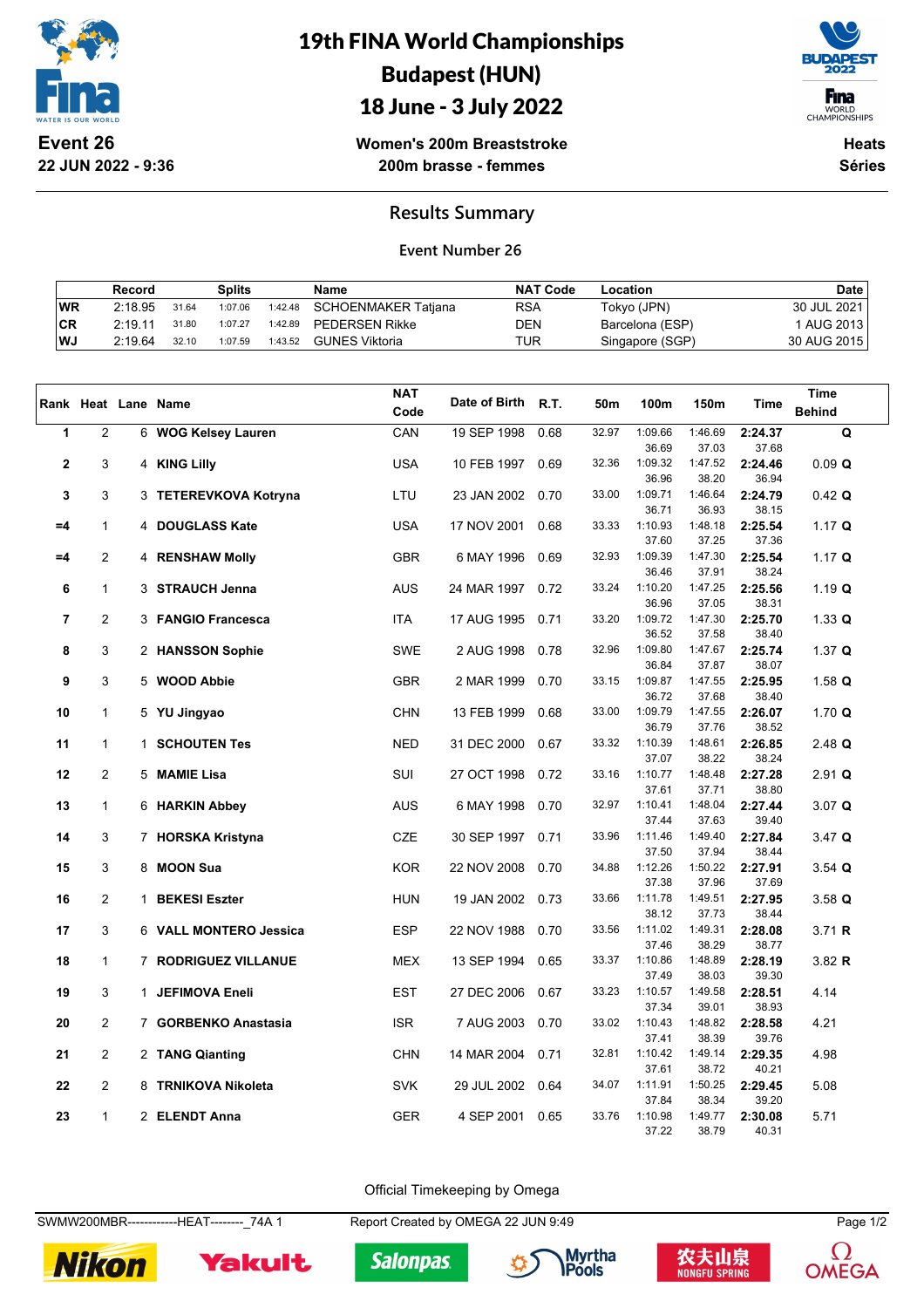

**22 JUN 2022 - 9:36**

19th FINA World Championships Budapest (HUN)

## 18 June - 3 July 2022



**Women's 200m Breaststroke 200m brasse - femmes**

**Heats Séries**

**Results Summary**

**Event Number 26**

|    | Record  |       | <b>Splits</b> |         | Name                | <b>NAT Code</b> | Location        | Date         |
|----|---------|-------|---------------|---------|---------------------|-----------------|-----------------|--------------|
| WR | 2:18.95 | 31.64 | 1:07.06       | 1:42.48 | SCHOENMAKER Tatiana | RSA             | Tokyo (JPN)     | 30 JUL 2021  |
| CR | 2:19.11 | 31.80 | 1:07.27       | 1:42.89 | PEDERSEN Rikke      | DEN             | Barcelona (ESP) | 1 AUG 2013 l |
| WJ | 2.19.64 | 32.10 | 1:07.59       | 1:43.52 | GUNES Viktoria      | TUR             | Singapore (SGP) | 30 AUG 2015  |

|             |                | Rank Heat Lane Name |                        | <b>NAT</b> | Date of Birth R.T. |      | 50m   | 100m             | 150m             | Time             | <b>Time</b>   |
|-------------|----------------|---------------------|------------------------|------------|--------------------|------|-------|------------------|------------------|------------------|---------------|
|             |                |                     |                        | Code       |                    |      |       |                  |                  |                  | <b>Behind</b> |
| 1           | $\overline{2}$ |                     | 6 WOG Kelsey Lauren    | CAN        | 19 SEP 1998        | 0.68 | 32.97 | 1:09.66          | 1:46.69          | 2:24.37          | Q             |
|             |                |                     |                        |            |                    |      |       | 36.69            | 37.03            | 37.68            |               |
| $\mathbf 2$ | 3              |                     | 4 KING Lilly           | <b>USA</b> | 10 FEB 1997        | 0.69 | 32.36 | 1:09.32          | 1:47.52          | 2:24.46          | 0.09 Q        |
|             |                |                     |                        |            |                    |      |       | 36.96            | 38.20            | 36.94            |               |
| 3           | 3              |                     | 3 TETEREVKOVA Kotryna  | LTU        | 23 JAN 2002        | 0.70 | 33.00 | 1:09.71          | 1:46.64          | 2:24.79          | $0.42$ Q      |
|             |                |                     |                        |            |                    |      |       | 36.71            | 36.93            | 38.15            |               |
| $=4$        | $\mathbf{1}$   |                     | 4 DOUGLASS Kate        | <b>USA</b> | 17 NOV 2001        | 0.68 | 33.33 | 1:10.93<br>37.60 | 1:48.18<br>37.25 | 2:25.54<br>37.36 | 1.17 Q        |
| $=4$        | $\overline{2}$ |                     |                        | <b>GBR</b> | 6 MAY 1996         | 0.69 | 32.93 | 1:09.39          | 1:47.30          | 2:25.54          | 1.17 Q        |
|             |                |                     | 4 RENSHAW Molly        |            |                    |      |       | 36.46            | 37.91            | 38.24            |               |
| 6           | $\mathbf{1}$   |                     | 3 STRAUCH Jenna        | <b>AUS</b> | 24 MAR 1997        | 0.72 | 33.24 | 1:10.20          | 1:47.25          | 2:25.56          | 1.19 Q        |
|             |                |                     |                        |            |                    |      |       | 36.96            | 37.05            | 38.31            |               |
| 7           | $\overline{2}$ |                     | 3 FANGIO Francesca     | ITA        | 17 AUG 1995        | 0.71 | 33.20 | 1:09.72          | 1:47.30          | 2:25.70          | 1.33 Q        |
|             |                |                     |                        |            |                    |      |       | 36.52            | 37.58            | 38.40            |               |
| 8           | 3              |                     | 2 HANSSON Sophie       | <b>SWE</b> | 2 AUG 1998         | 0.78 | 32.96 | 1:09.80          | 1:47.67          | 2:25.74          | 1.37 $Q$      |
|             |                |                     |                        |            |                    |      |       | 36.84            | 37.87            | 38.07            |               |
| 9           | 3              |                     | 5 WOOD Abbie           | <b>GBR</b> | 2 MAR 1999         | 0.70 | 33.15 | 1:09.87          | 1:47.55          | 2:25.95          | $1.58$ Q      |
|             |                |                     |                        |            |                    |      |       | 36.72            | 37.68            | 38.40            |               |
| 10          | 1              |                     | 5 YU Jingyao           | <b>CHN</b> | 13 FEB 1999        | 0.68 | 33.00 | 1:09.79          | 1:47.55          | 2:26.07          | 1.70 $Q$      |
|             |                |                     |                        |            |                    |      |       | 36.79            | 37.76            | 38.52            |               |
| 11          | $\mathbf{1}$   | 1                   | <b>SCHOUTEN Tes</b>    | <b>NED</b> | 31 DEC 2000        | 0.67 | 33.32 | 1:10.39          | 1:48.61          | 2:26.85          | $2.48$ Q      |
|             |                |                     |                        |            |                    |      |       | 37.07            | 38.22            | 38.24            |               |
| 12          | $\overline{2}$ |                     | 5 MAMIE Lisa           | SUI        | 27 OCT 1998        | 0.72 | 33.16 | 1:10.77          | 1:48.48          | 2:27.28          | $2.91$ Q      |
|             | $\mathbf{1}$   |                     |                        | <b>AUS</b> |                    |      | 32.97 | 37.61<br>1:10.41 | 37.71<br>1:48.04 | 38.80            |               |
| 13          |                |                     | 6 HARKIN Abbey         |            | 6 MAY 1998         | 0.70 |       | 37.44            | 37.63            | 2:27.44<br>39.40 | 3.07 Q        |
| 14          | 3              |                     | 7 HORSKA Kristyna      | <b>CZE</b> | 30 SEP 1997        | 0.71 | 33.96 | 1:11.46          | 1:49.40          | 2:27.84          | 3.47 Q        |
|             |                |                     |                        |            |                    |      |       | 37.50            | 37.94            | 38.44            |               |
| 15          | 3              |                     | 8 MOON Sua             | <b>KOR</b> | 22 NOV 2008        | 0.70 | 34.88 | 1:12.26          | 1:50.22          | 2:27.91          | $3.54$ Q      |
|             |                |                     |                        |            |                    |      |       | 37.38            | 37.96            | 37.69            |               |
| 16          | $\overline{2}$ |                     | 1 BEKESI Eszter        | <b>HUN</b> | 19 JAN 2002        | 0.73 | 33.66 | 1:11.78          | 1:49.51          | 2:27.95          | 3.58Q         |
|             |                |                     |                        |            |                    |      |       | 38.12            | 37.73            | 38.44            |               |
| 17          | 3              |                     | 6 VALL MONTERO Jessica | <b>ESP</b> | 22 NOV 1988        | 0.70 | 33.56 | 1:11.02          | 1:49.31          | 2:28.08          | 3.71 R        |
|             |                |                     |                        |            |                    |      |       | 37.46            | 38.29            | 38.77            |               |
| 18          | $\mathbf{1}$   |                     | 7 RODRIGUEZ VILLANUE   | <b>MEX</b> | 13 SEP 1994        | 0.65 | 33.37 | 1:10.86          | 1:48.89          | 2:28.19          | 3.82 R        |
|             |                |                     |                        |            |                    |      |       | 37.49            | 38.03            | 39.30            |               |
| 19          | 3              |                     | 1 JEFIMOVA Eneli       | <b>EST</b> | 27 DEC 2006        | 0.67 | 33.23 | 1:10.57          | 1:49.58          | 2:28.51          | 4.14          |
|             |                |                     |                        |            |                    |      | 33.02 | 37.34<br>1:10.43 | 39.01<br>1:48.82 | 38.93            |               |
| 20          | $\overline{2}$ |                     | 7 GORBENKO Anastasia   | <b>ISR</b> | 7 AUG 2003         | 0.70 |       | 37.41            | 38.39            | 2:28.58<br>39.76 | 4.21          |
| 21          | $\overline{c}$ |                     | 2 TANG Qianting        | <b>CHN</b> | 14 MAR 2004        | 0.71 | 32.81 | 1:10.42          | 1:49.14          | 2:29.35          | 4.98          |
|             |                |                     |                        |            |                    |      |       | 37.61            | 38.72            | 40.21            |               |
| 22          | $\overline{2}$ |                     | 8 TRNIKOVA Nikoleta    | SVK        | 29 JUL 2002        | 0.64 | 34.07 | 1:11.91          | 1:50.25          | 2:29.45          | 5.08          |
|             |                |                     |                        |            |                    |      |       | 37.84            | 38.34            | 39.20            |               |
| 23          | $\mathbf{1}$   |                     | 2 ELENDT Anna          | <b>GER</b> | 4 SEP 2001         | 0.65 | 33.76 | 1:10.98          | 1:49.77          | 2:30.08          | 5.71          |
|             |                |                     |                        |            |                    |      |       | 37.22            | 38.79            | 40.31            |               |

Official Timekeeping by Omega

SWMW200MBR-------------HEAT--------\_74A 1 Report Created by OMEGA 22 JUN 9:49 Page 1/2



Yakult